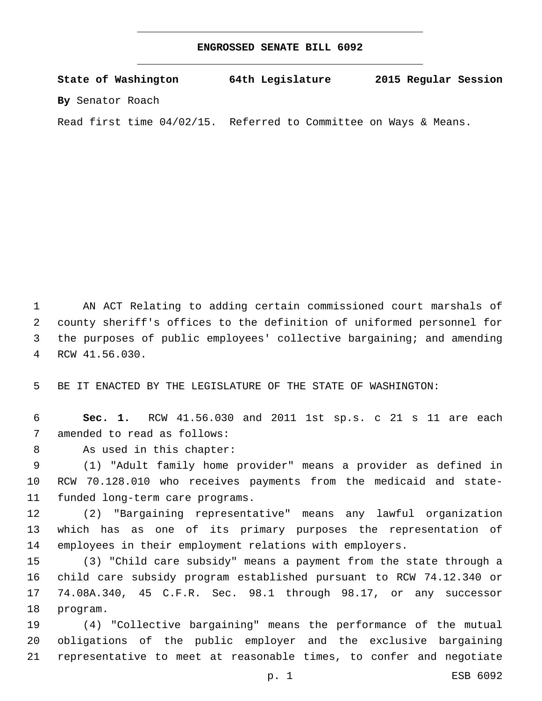## **ENGROSSED SENATE BILL 6092**

| State of Washington          | 64th Legislature                       | 2015 Regular Session |
|------------------------------|----------------------------------------|----------------------|
| By Senator Roach             |                                        |                      |
| Read first time $04/02/15$ . | Referred to Committee on Ways & Means. |                      |

 AN ACT Relating to adding certain commissioned court marshals of county sheriff's offices to the definition of uniformed personnel for the purposes of public employees' collective bargaining; and amending RCW 41.56.030.4

BE IT ENACTED BY THE LEGISLATURE OF THE STATE OF WASHINGTON:

 **Sec. 1.** RCW 41.56.030 and 2011 1st sp.s. c 21 s 11 are each 7 amended to read as follows:

8 As used in this chapter:

 (1) "Adult family home provider" means a provider as defined in RCW 70.128.010 who receives payments from the medicaid and state-11 funded long-term care programs.

 (2) "Bargaining representative" means any lawful organization which has as one of its primary purposes the representation of employees in their employment relations with employers.

 (3) "Child care subsidy" means a payment from the state through a child care subsidy program established pursuant to RCW 74.12.340 or 74.08A.340, 45 C.F.R. Sec. 98.1 through 98.17, or any successor 18 program.

 (4) "Collective bargaining" means the performance of the mutual obligations of the public employer and the exclusive bargaining representative to meet at reasonable times, to confer and negotiate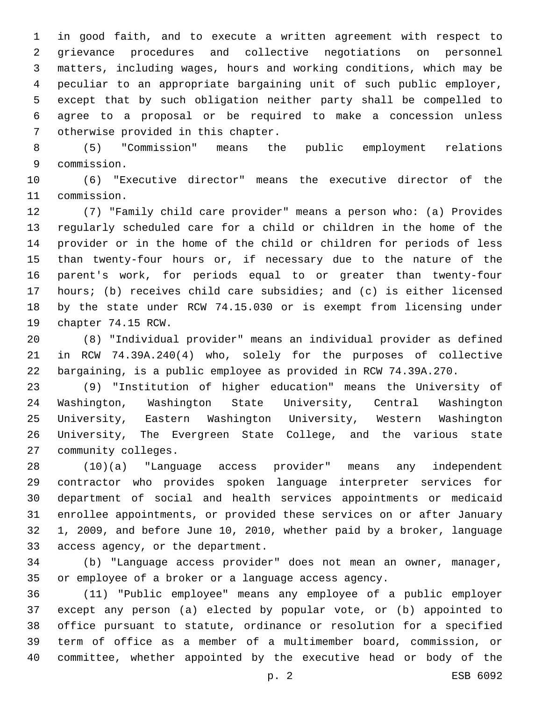in good faith, and to execute a written agreement with respect to grievance procedures and collective negotiations on personnel matters, including wages, hours and working conditions, which may be peculiar to an appropriate bargaining unit of such public employer, except that by such obligation neither party shall be compelled to agree to a proposal or be required to make a concession unless 7 otherwise provided in this chapter.

 (5) "Commission" means the public employment relations commission.9

 (6) "Executive director" means the executive director of the 11 commission.

 (7) "Family child care provider" means a person who: (a) Provides regularly scheduled care for a child or children in the home of the provider or in the home of the child or children for periods of less than twenty-four hours or, if necessary due to the nature of the parent's work, for periods equal to or greater than twenty-four hours; (b) receives child care subsidies; and (c) is either licensed by the state under RCW 74.15.030 or is exempt from licensing under 19 chapter 74.15 RCW.

 (8) "Individual provider" means an individual provider as defined in RCW 74.39A.240(4) who, solely for the purposes of collective bargaining, is a public employee as provided in RCW 74.39A.270.

 (9) "Institution of higher education" means the University of Washington, Washington State University, Central Washington University, Eastern Washington University, Western Washington University, The Evergreen State College, and the various state 27 community colleges.

 (10)(a) "Language access provider" means any independent contractor who provides spoken language interpreter services for department of social and health services appointments or medicaid enrollee appointments, or provided these services on or after January 1, 2009, and before June 10, 2010, whether paid by a broker, language 33 access agency, or the department.

 (b) "Language access provider" does not mean an owner, manager, or employee of a broker or a language access agency.

 (11) "Public employee" means any employee of a public employer except any person (a) elected by popular vote, or (b) appointed to office pursuant to statute, ordinance or resolution for a specified term of office as a member of a multimember board, commission, or committee, whether appointed by the executive head or body of the

p. 2 ESB 6092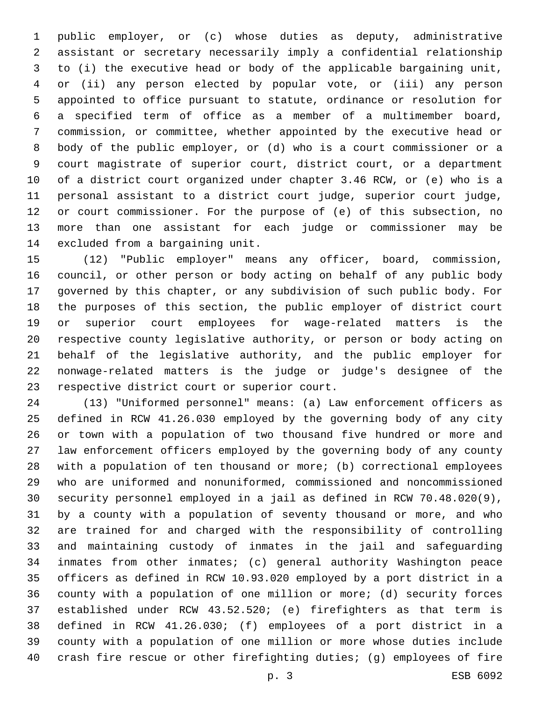public employer, or (c) whose duties as deputy, administrative assistant or secretary necessarily imply a confidential relationship to (i) the executive head or body of the applicable bargaining unit, or (ii) any person elected by popular vote, or (iii) any person appointed to office pursuant to statute, ordinance or resolution for a specified term of office as a member of a multimember board, commission, or committee, whether appointed by the executive head or body of the public employer, or (d) who is a court commissioner or a court magistrate of superior court, district court, or a department of a district court organized under chapter 3.46 RCW, or (e) who is a personal assistant to a district court judge, superior court judge, or court commissioner. For the purpose of (e) of this subsection, no more than one assistant for each judge or commissioner may be 14 excluded from a bargaining unit.

 (12) "Public employer" means any officer, board, commission, council, or other person or body acting on behalf of any public body governed by this chapter, or any subdivision of such public body. For the purposes of this section, the public employer of district court or superior court employees for wage-related matters is the respective county legislative authority, or person or body acting on behalf of the legislative authority, and the public employer for nonwage-related matters is the judge or judge's designee of the 23 respective district court or superior court.

 (13) "Uniformed personnel" means: (a) Law enforcement officers as defined in RCW 41.26.030 employed by the governing body of any city or town with a population of two thousand five hundred or more and law enforcement officers employed by the governing body of any county with a population of ten thousand or more; (b) correctional employees who are uniformed and nonuniformed, commissioned and noncommissioned security personnel employed in a jail as defined in RCW 70.48.020(9), by a county with a population of seventy thousand or more, and who are trained for and charged with the responsibility of controlling and maintaining custody of inmates in the jail and safeguarding inmates from other inmates; (c) general authority Washington peace officers as defined in RCW 10.93.020 employed by a port district in a county with a population of one million or more; (d) security forces established under RCW 43.52.520; (e) firefighters as that term is defined in RCW 41.26.030; (f) employees of a port district in a county with a population of one million or more whose duties include crash fire rescue or other firefighting duties; (g) employees of fire

p. 3 ESB 6092